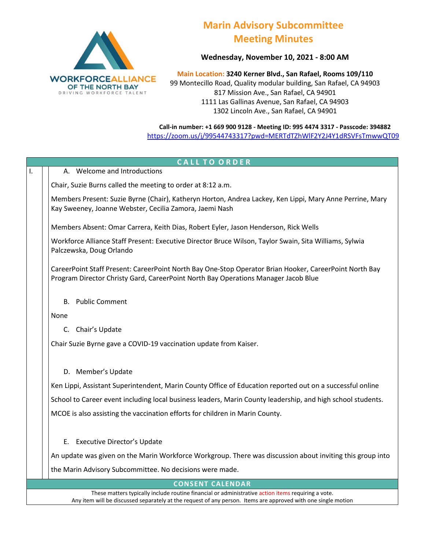

## **Marin Advisory Subcommittee Meeting Minutes**

**Wednesday, November 10, 2021 - 8:00 AM**

**Main Location: 3240 Kerner Blvd., San Rafael, Rooms 109/110** 99 Montecillo Road, Quality modular building, San Rafael, CA 94903 817 Mission Ave., San Rafael, CA 94901 1111 Las Gallinas Avenue, San Rafael, CA 94903 1302 Lincoln Ave., San Rafael, CA 94901

**Call-in number: +1 669 900 9128 - Meeting ID: 995 4474 3317 - Passcode: 394882** <https://zoom.us/j/99544743317?pwd=MERTdTZhWlF2Y2J4Y1dRSVFsTmwwQT09>

| <b>CALL TO ORDER</b>                                                                                                                                                                                                |                                                                                                                                                                                              |  |
|---------------------------------------------------------------------------------------------------------------------------------------------------------------------------------------------------------------------|----------------------------------------------------------------------------------------------------------------------------------------------------------------------------------------------|--|
| I.                                                                                                                                                                                                                  | A. Welcome and Introductions                                                                                                                                                                 |  |
|                                                                                                                                                                                                                     | Chair, Suzie Burns called the meeting to order at 8:12 a.m.                                                                                                                                  |  |
|                                                                                                                                                                                                                     | Members Present: Suzie Byrne (Chair), Katheryn Horton, Andrea Lackey, Ken Lippi, Mary Anne Perrine, Mary<br>Kay Sweeney, Joanne Webster, Cecilia Zamora, Jaemi Nash                          |  |
|                                                                                                                                                                                                                     | Members Absent: Omar Carrera, Keith Dias, Robert Eyler, Jason Henderson, Rick Wells                                                                                                          |  |
|                                                                                                                                                                                                                     | Workforce Alliance Staff Present: Executive Director Bruce Wilson, Taylor Swain, Sita Williams, Sylwia<br>Palczewska, Doug Orlando                                                           |  |
|                                                                                                                                                                                                                     | CareerPoint Staff Present: CareerPoint North Bay One-Stop Operator Brian Hooker, CareerPoint North Bay<br>Program Director Christy Gard, CareerPoint North Bay Operations Manager Jacob Blue |  |
|                                                                                                                                                                                                                     | <b>B.</b> Public Comment                                                                                                                                                                     |  |
|                                                                                                                                                                                                                     | None                                                                                                                                                                                         |  |
|                                                                                                                                                                                                                     | C. Chair's Update                                                                                                                                                                            |  |
|                                                                                                                                                                                                                     | Chair Suzie Byrne gave a COVID-19 vaccination update from Kaiser.                                                                                                                            |  |
|                                                                                                                                                                                                                     | D. Member's Update                                                                                                                                                                           |  |
|                                                                                                                                                                                                                     | Ken Lippi, Assistant Superintendent, Marin County Office of Education reported out on a successful online                                                                                    |  |
|                                                                                                                                                                                                                     | School to Career event including local business leaders, Marin County leadership, and high school students.                                                                                  |  |
|                                                                                                                                                                                                                     | MCOE is also assisting the vaccination efforts for children in Marin County.                                                                                                                 |  |
|                                                                                                                                                                                                                     | E. Executive Director's Update                                                                                                                                                               |  |
|                                                                                                                                                                                                                     | An update was given on the Marin Workforce Workgroup. There was discussion about inviting this group into                                                                                    |  |
|                                                                                                                                                                                                                     | the Marin Advisory Subcommittee. No decisions were made.                                                                                                                                     |  |
| <b>CONSENT CALENDAR</b>                                                                                                                                                                                             |                                                                                                                                                                                              |  |
| These matters typically include routine financial or administrative action items requiring a vote.<br>Any item will be discussed separately at the request of any person. Items are approved with one single motion |                                                                                                                                                                                              |  |